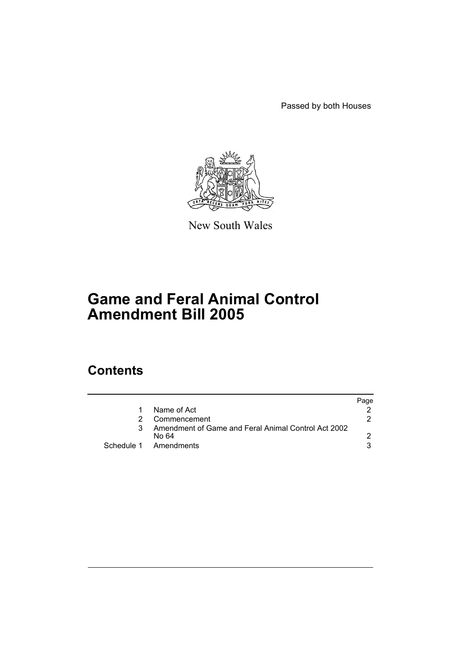Passed by both Houses



New South Wales

# **Game and Feral Animal Control Amendment Bill 2005**

## **Contents**

|   |                                                              | Page |
|---|--------------------------------------------------------------|------|
|   | Name of Act                                                  |      |
| 2 | Commencement                                                 | 2.   |
|   | Amendment of Game and Feral Animal Control Act 2002<br>No 64 |      |
|   | Schedule 1 Amendments                                        |      |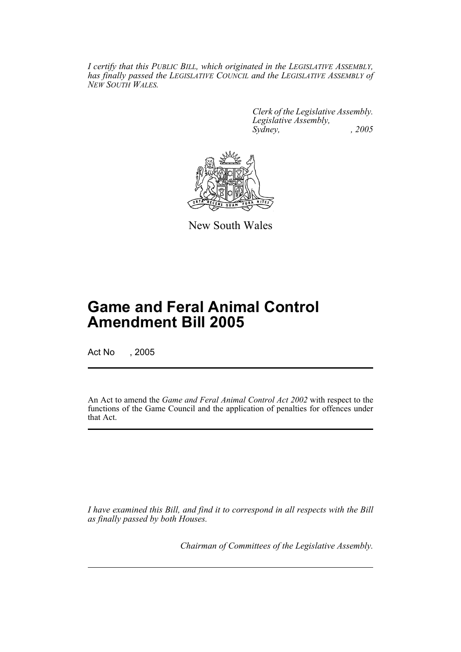*I certify that this PUBLIC BILL, which originated in the LEGISLATIVE ASSEMBLY, has finally passed the LEGISLATIVE COUNCIL and the LEGISLATIVE ASSEMBLY of NEW SOUTH WALES.*

> *Clerk of the Legislative Assembly. Legislative Assembly, Sydney, , 2005*



New South Wales

## **Game and Feral Animal Control Amendment Bill 2005**

Act No , 2005

An Act to amend the *Game and Feral Animal Control Act 2002* with respect to the functions of the Game Council and the application of penalties for offences under that Act.

*I have examined this Bill, and find it to correspond in all respects with the Bill as finally passed by both Houses.*

*Chairman of Committees of the Legislative Assembly.*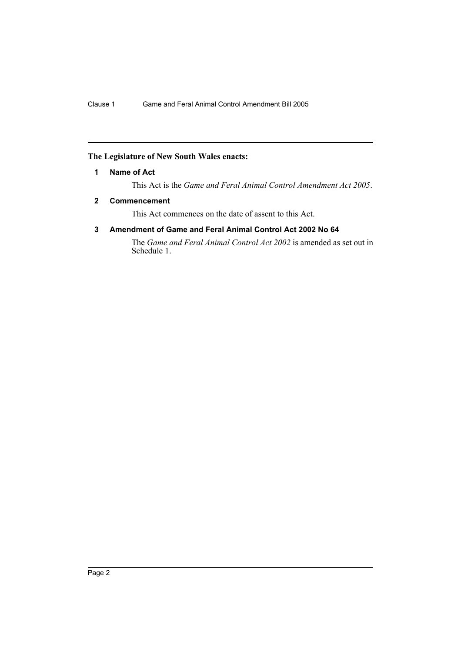### **The Legislature of New South Wales enacts:**

#### **1 Name of Act**

This Act is the *Game and Feral Animal Control Amendment Act 2005*.

### **2 Commencement**

This Act commences on the date of assent to this Act.

### **3 Amendment of Game and Feral Animal Control Act 2002 No 64**

The *Game and Feral Animal Control Act 2002* is amended as set out in Schedule 1.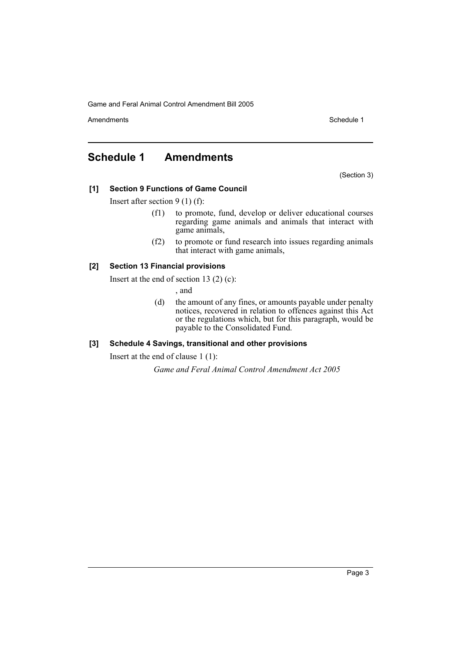Game and Feral Animal Control Amendment Bill 2005

Amendments **Schedule 1** and the set of the set of the set of the set of the set of the set of the set of the set of the set of the set of the set of the set of the set of the set of the set of the set of the set of the set

### **Schedule 1 Amendments**

(Section 3)

### **[1] Section 9 Functions of Game Council**

Insert after section 9 (1) (f):

- (f1) to promote, fund, develop or deliver educational courses regarding game animals and animals that interact with game animals,
- (f2) to promote or fund research into issues regarding animals that interact with game animals,

### **[2] Section 13 Financial provisions**

Insert at the end of section 13 $(2)$  $(c)$ :

, and

(d) the amount of any fines, or amounts payable under penalty notices, recovered in relation to offences against this Act or the regulations which, but for this paragraph, would be payable to the Consolidated Fund.

### **[3] Schedule 4 Savings, transitional and other provisions**

Insert at the end of clause 1 (1):

*Game and Feral Animal Control Amendment Act 2005*